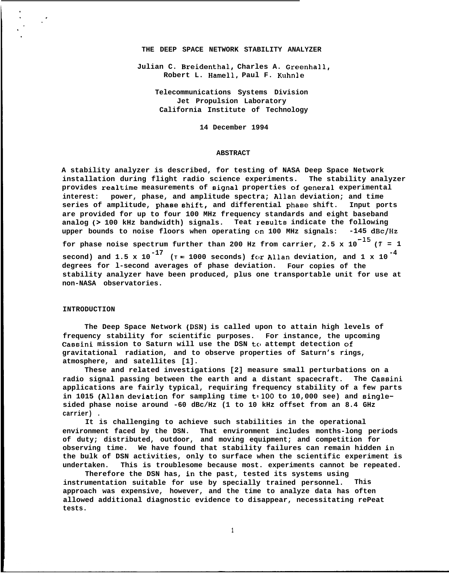#### **THE DEEP SPACE NETWORK STABILITY ANALYZER**

**Julian C. Breidenthal, Charles A. Greenhall, Robert L. Hamell, Paul F. Kuhnle**

> **Telecommunications Systems Division Jet Propulsion Laboratory California Institute of Technology**

> > **14 December 1994**

## **ABSTRACT**

**A stability analyzer is described, for testing of NASA Deep Space Network installation during flight radio science experiments. The stability analyzer provides realtime measurements of signal properties of general experimental interest: power, phase, and amplitude spectra; Allan deviation; and time series of amplitude, phaee shift, and differential phase shift. Input ports are provided for up to four 100 MHz frequency standards and eight baseband analog (> 100 kHz bandwidth) signals. Teat results indicate the following upper bounds to noise floors when operating cln 100 MHz signals: -145 dBc/Hz** for phase noise spectrum further than 200 Hz from carrier,  $2.5 \times 10^{-15}$  ( $7 = 1$ **second)** and 1.5 x 10<sup>-17</sup> ( $T = 1000$  seconds) for Allan deviation, and 1 x 10<sup>-4</sup> **degrees for l-second averages of phase deviation. Four copies of the stability analyzer have been produced, plus one transportable unit for use at non-NASA observatories.**

# **INTRODUCTION**

**The Deep Space Network (DSN) is called upon to attain high levels of frequency stability for scientific purposes. For instance, the upcoming** Cassini mission to Saturn will use the DSN to attempt detection of **gravitational radiation, and to observe properties of Saturn's rings, atmosphere, and satellites [1].**

**These and related investigations [2] measure small perturbations on a radio signal passing between the earth and a distant spacecraft. The Cassini applications are fairly typical, requiring frequency stability of a few parts** in 1015 (Allan deviation for sampling time t=100 to 10,000 see) and single**sided phase noise around -60 dBc/Hz (1 to 10 kHz offset from an 8.4 GHz carrier) .**

**It is challenging to achieve such stabilities in the operational environment faced by the DSN. That environment includes months-long periods of duty; distributed, outdoor, and moving equipment; and competition for observing time. We have found that stability failures can remain hidden in the bulk of DSN activities, only to surface when the scientific experiment is undertaken. This is troublesome because most. experiments cannot be repeated.**

**Therefore the DSN has, in the past, tested its systems using instrumentation suitable for use by specially trained personnel. This approach was expensive, however, and the time to analyze data has often allowed additional diagnostic evidence to disappear, necessitating rePeat tests.**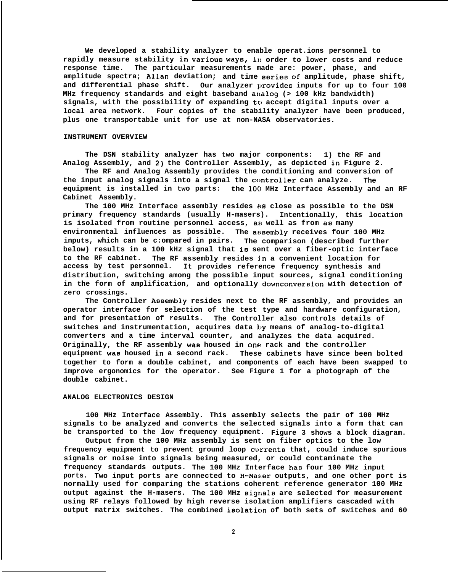**We developed a stability analyzer to enable operat.ions personnel to** rapidly measure stability in various ways, in order to lower costs and reduce **response time. The particular measurements made are: power, phase, and amplitude spectra; A1l.an deviation; and time series of amplitude, phase shift,** and differential phase shift. Our analyzer provides inputs for up to four 100 **MHz frequency standards and eight baseband analog (> 100 kHz bandwidth) signals, with the possibility of expanding to accept digital inputs over a local area network. Four copies of the stability analyzer have been produced, plus one transportable unit for use at non-NASA observatories.**

### **INSTRUMENT OVERVIEW**

**The DSN stability analyzer has two major components: 1) the RF and Analog Assembly, and 2) the Controller Assembly, as depicted in Figure 2.**

**The RF and Analog Assembly provides the conditioning and conversion of** the input analog signals into a signal the controller can analyze. The **equipment is installed in two parts:** the 100 MHz Interface Assembly and an RF **Cabinet Assembly.**

**The 100 MHz Interface assembly resides as close as possible to the DSN primary frequency standards (usually H-masers). Intentionally, this location is isolated from routine personnel access, ae well as from as many environmental influences as possible. The af,sembly receives four 100 MHz inputs, which can be c:ompared in pairs. The comparison (described further below) results in a 100 kHz signal that is sent over a fiber-optic interface to the RF cabinet. The RF assembly resides in a convenient location for access by test personnel. It provides reference frequency synthesis and distribution, switching among the possible input sources, signal conditioning in the form of amplification, and optionally downconversion with detection of zero crossings.**

**The Controller Aesembly resides next to the RF assembly, and provides an operator interface for selection of the test type and hardware configuration, and for presentation of results. The Controller also controls details of** switches and instrumentation, acquires data by means of analog-to-digital **converters and a time interval counter, and analyzes the data acquired. Originally, the RF assembly was housed in on~ rack and the controller equipment wae housed in a second rack. These cabinets have since been bolted together to form a double cabinet, and components of each have been swapped to improve ergonomics for the operator. See Figure 1 for a photograph of the double cabinet.**

## **ANALOG ELECTRONICS DESIGN**

**100 MHz Interface Assembly. This assembly selects the pair of 100 MHz signals to be analyzed and converts the selected signals into a form that can be transported to the low frequency equipment. Figure 3 shows a block diagram.**

**Output from the 100 MHz assembly is sent on fiber optics to the low frequency equipment to prevent ground loop cvrrents that, could induce spurious signals or noise into signals being measured, or could contaminate the frequency standards outputs. The 100 MHz Interface hag four 100 MHz input** ports. Two input ports are connected to H-Maser outputs, and one other port is **normally used for comparing the stations coherent reference generator 100 MHz output against the H-masers. The 100 MHz sigr,als are selected for measurement using RF relays followed by high reverse isolation amplifiers cascaded with** output matrix switches. The combined isolation of both sets of switches and 60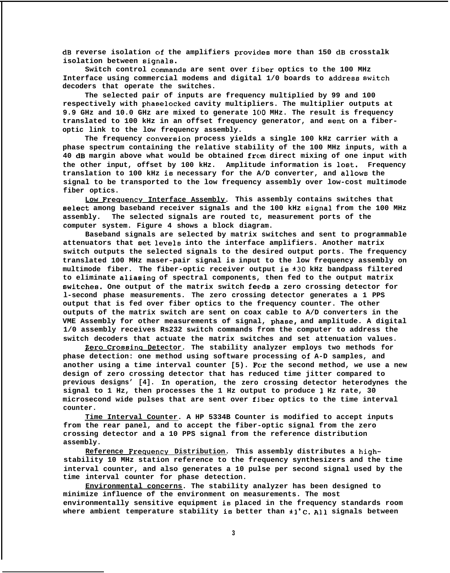**dB reverse isolation clf the amplifiers provicles more than 150 dB crosstalk isolation between signala.**

Switch control commands are sent over fiber optics to the 100 MHz **Interface using commercial modems and digital 1/0 boards to address switch decoders that operate the switches.**

**The selected pair of inputs are frequency multiplied by 99 and 100** respectively with phaselocked cavity multipliers. The multiplier outputs at 9.9 GHz and 10.0 GHz are mixed to generate 100 MHz. The result is frequency **translated to 100 kHz in an offset frequency generator, and sent on a fiberoptic link to the low frequency assembly.**

The frequency conversion process yields a single 100 kHz carrier with a **phase spectrum containing the relative stability of the 100 MHz inputs, with a** 40 dB margin above what would be obtained from direct mixing of one input with **the other input, offset by 100 kHz. Amplitude information is lost. Frequency translation to 100 kHz is necessary for the A/D converter, and allows the signal to be transported to the low frequency assembly over low-cost multimode fiber optics.**

**Low Frequency Interface Assembly.** This assembly contains switches that **eelect among baseband receiver signals and the 100 kHz eignal from the 100 MHz assembly. The selected signals are routed tc, measurement ports of the computer system. Figure 4 shows a block diagram.**

**Baseband signals are selected by matrix switches and sent to programmable attenuators that set levels into the interface amplifiers. Another matrix switch outputs the selected signals to the desired output ports. The frequency translated 100 MHz maser-pair signal is input to the low frequency assembly on multimode fiber. The fiber-optic receiver output ie \*3O kHz bandpass filtered to eliminate aliasing of spectral components, then fed to the output matrix ewitches. One output of the matrix switch feeds a zero crossing detector for l-second phase measurements. The zero crossing detector generates a 1 PPS output that is fed over fiber optics to the frequency counter. The other outputs of the matrix switch are sent on coax cable to A/D converters in the VME Assembly for other measurements of signal, phaee, and amplitude. A digital 1/0 assembly receives Rs232 switch commands from the computer to address the switch decoders that actuate the matrix switches and set attenuation values.**

**\$ero Crossina Detector. The stability analyzer employs two methods for phase detection: one method using software processing of A-D samples, and another using a time interval counter [5). For the second method, we use a new design of zero crossing detector that has reduced time jitter compared to previous designs' [4]. In operation, the zero crossing detector heterodynes the signal to 1 Hz, then processes the 1 Hz output to produce 1 Hz rate, 30 microsecond wide pulses that are sent over fiber optics to the time interval counter.**

**Time Interval Counter. A HP 5334B Counter is modified to accept inputs from the rear panel, and to accept the fiber-optic signal from the zero crossing detector and a 10 PPS signal from the reference distribution assembly.**

Reference Frequency Distribution. This assembly distributes a high**stability 10 MHz station reference to the frequency synthesizers and the time interval counter, and also generates a 10 pulse per second signal used by the time interval counter for phase detection.**

**Environmental concerns. The stability analyzer has been designed to minimize influence of the environment on measurements. The most environmentally sensitive equipment is placed in the frequency standards room where ambient temperature stability** is **better than \*l"C. All signals between**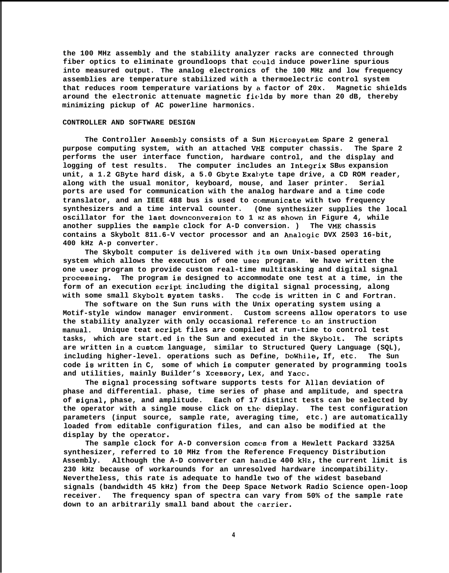**the 100 MHz assembly and the stability analyzer racks are connected through fiber optics to eliminate groundloops that ccluld induce powerline spurious into measured output. The analog electronics of the 100 MHz and low frequency assemblies are temperature stabilized with a thermoelectric control system that reduces room temperature variations by a factor of 20x. Magnetic shields around the electronic attenuate magnetic fields by more than 20 dB, thereby minimizing pickup of AC powerline harmonics.**

# **CONTROLLER AND SOFTWARE DESIGN**

The Controller Assembly consists of a Sun Microsystem Spare 2 general **purpose computing system, with an attached VME computer chassis. The Spare 2 performs the user interface function, hardware control, and the display and** logging of test results. The computer includes an Integrix SBUS expansion **unit, a 1.2 GByte hard disk, a 5.0 Gbyte Exahyte tape drive, a CD ROM reader, along with the usual monitor, keyboard, mouse, and laser printer. Serial ports are used for communication with the analog hardware and a time code translator, and an IEEE 488 bus is used to cc,mmunicate with two frequency synthesizers and a time interval counter. (One synthesizer supplies the local oscillator for the last downconversion to 1**  $_{\text{HZ}}$  **as shown in Figure 4, while another supplies the sample clock for A-D conversion. ) The VME chassis contains a Skybolt 811.6-V vector processor and an Analogic DVX 2503 16-bit, 400 kHz A-p converter.**

**The Skybolt computer is delivered with jts own Unix-based operating system which allows the execution of one usel program. We have written the one uBer program to provide custom real-time multitasking and digital signal proceaaing. The program is designed to accommodate one test at a time, in the** form of an execution script including the digital signal processing, along **with some small Skybol.t eyetem tasks. The cc,de is written in C and Fortran.**

**The software on the Sun runs with the Unix operating system using a Motif-style window manager environment. Custom screens allow operators to use the stability analyzer with only occasional reference to an instruction** manual. Unique teat script files are compiled at run-time to control test **tasks, which are start.ed in the Sun and executed in the Skybolt. The scripts** are written in a custom language, similar to Structured Query Language (SQL), **including higher-level. operations such as Define, DoWhile, If, etc. The Sun code ia written in C, some of which is computer generated by programming tools and utilities, mainly Builder's Xcessory, Lex, and Yacc.**

**The signal processing software supports tests for Allan deviation of phase and differential. phase, time series of phase and amplitude, and spectra** of  $signal$ , phase, and amplitude. Each of 17 distinct tests can be selected by **the operator with a single mouse click on the dieplay. The test configuration parameters (input source, sample rate, averaging time, etc.) are automatically loaded from editable configuration files, and can also be modified at the** display by the operator.

**The sample clock for A-D conversion comes from a Hewlett Packard 3325A synthesizer, referred to 10 MHz from the Reference Frequency Distribution Assembly. Although the A-D converter can harldle 400 kHz, the current limit is 230 kHz because of workarounds for an unresolved hardware incompatibility. Nevertheless, this rate is adequate to handle two of the widest baseband signals (bandwidth 45 kHz) from the Deep Space Network Radio Science open-loop receiver. The frequency span of spectra can vary from 50% of the sample rate** down to an arbitrarily small band about the carrier.

**4**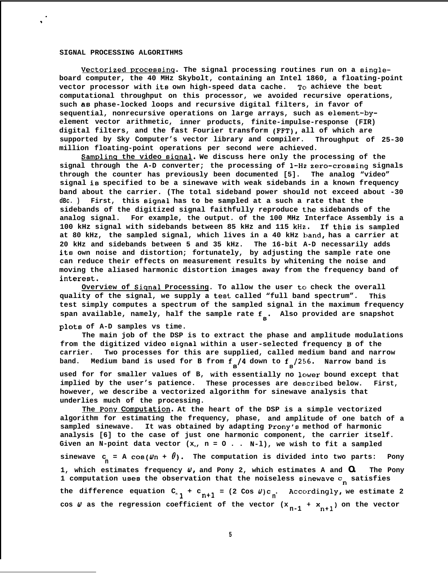### **SIGNAL PROCESSING ALGORITHMS**

Vectorized processing. The signal processing routines run on a single**board computer, the 40 MHz Skybolt, containing an Intel 1860, a floating-point vector processor with its own high-speed data cache.** To achieve the best **computational throughput on this processor, we avoided recursive operations, such as phase-locked loops and recursive digital filters, in favor of sequential, nonrecursive operations on large arrays, such as element-byelement vector arithmetic, inner products, finite-impulse-response (FIR) digital filters, and the fast Fourier transform (FFT), all of which are supported by Sky Computer's vector library and compiler. Throughput of 25-30 million floating-point operations per second were achieved.**

**Samplinq the video aianal. We discuss here only the processing of the signal through the A-D converter; the processing of 1-Hz. zero-croseing signals through the counter has previously been documented [5]. The analog "video" signal is specified to be a sinewave with weak sidebands in a known frequency band about the carrier. (The total sideband power should not exceed about -30 dBc. ) First, this signal has to be sampled at a such a rate that the sidebands of the digitized signal faithfully reproduce the sidebands of the analog signal. For example, the output. of the 100 MHz Interface Assembly is a 100 kHz signal with sidebands between 85 kHz and 115 kHz. If thie is sampled** at 80 kHz, the sampled signal, which lives in a 40 kHz band, has a carrier at **20 kHz and sidebands between 5 and 35 kHz. The 16-bit A-D necessarily adds ite own noise and distortion; fortunately, by adjusting the sample rate one can reduce their effects on measurement results by whitening the noise and moving the aliased harmonic distortion images away from the frequency band of** interest.

**Overview of Siqnal Processing. To allow the user to check the overall quality of the signal, we supply a test called "full band spectrum". This test simply computes a spectrum of the sampled signal in the maximum frequency** span available, namely, half the sample rate f<sub>s</sub>. Also provided are snapshot

### **plots of A-D samples vs time.**

**The main job of the DSP is to extract the phase and amplitude modulations from the digitized video signal within a user-selected frequency B of the carrier. Two processes for this are supplied, called medium band and narrow** band. Medium band is used for B from  $f_{s}/4$  down to  $f_{s}/256$ . Narrow band is

**used for for smaller values of B, with essentially no lower bound except that implied by the user's patience. These processes are deecribed below. First, however, we describe a vectorized algorithm for sinewave analysis that underlies much of the processing.**

**The Pony ComPutatig. At the heart of the DSP is a simple vectorized algorithm for estimating the frequency, phase, and amplitude of one batch of a sampled sinewave. It was obtained by adapting Prony's method of harmonic analysis [6] to the case of just one harmonic component, the carrier itself.** Given an N-point data vector  $(x_n, n = 0 \ldots N-1)$ , we wish to fit a sampled  $\texttt{sinewave}$  **c** = **A** cos( $\texttt{w}_n$  +  $\textbf{\theta}$ ). The computation is divided into two parts: Pony **1, which estimates frequency (J, and Pony 2, which estimates A and O. The Pony 1 computation usee the observation that the noiseless si.newave Cn satisfies** the difference equation  $C_n$   $\uparrow$   $\uparrow$   $C_{n+1}$  = (2 Cos  $\psi$ ) $C_n$ . Accordingly, we estimate 2 cos  $\psi$  as the regression coefficient of the vector  $(x_{n-1} + x_{n+1})$  on the vector

**5**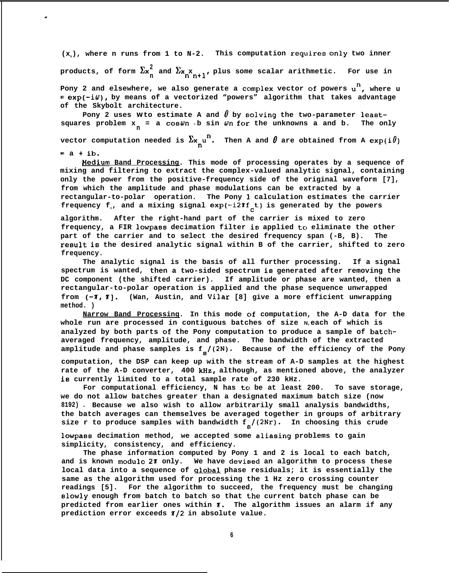(x<sub>n</sub>), where n runs from 1 to N-2. This computation requires only two inner

.

 $\frac{1}{2}$  products, of form  $\sum_{n=1}^{\infty}$  and  $\sum_{n=1}^{\infty}$ , plus some scalar arithmetic. For use in

Pony 2 and elsewhere, we also generate a complex vector of powers u<sup>n</sup>, where u **= exp(-iti), by means of a vectorized "powers" algorithm that takes advantage of the Skybolt architecture.**

Pony 2 uses  $W$  to estimate A and  $\theta$  by solving the two-parameter leastsquares problem  $x_n = a \cos \omega n$  b sin  $\omega n$  for the unknowns a and b. The only

vector computation needed is  $\sum_{x} w^n$ . Then A and  $\theta$  are obtained from A exp(i $\theta$ )  $=$   $a + ib.$ 

**/4edium Band Processing. This mode of processing operates by a sequence of mixing and filtering to extract the complex-valued analytic signal, containing only the power from the positive-frequency side of the original waveform [7], from which the amplitude and phase modulations can be extracted by a rectangular-to-polar operation. The Pony 1. calculation estimates the carrier** frequency  $f{f}$ , and a mixing signal  $exp(-i2\pi f{f}t)$  is generated by the powers

**algorithm. After the right-hand part of the carrier is mixed to zero** frequency, a FIR lowpass decimation filter is applied to eliminate the other **part of the carrier and to select the desired frequency span (-B, B). The result is the desired analytic signal within B of the carrier, shifted to zero frequency.**

**The analytic signal is the basis of all further processing. If a signal spectrum is wanted, then a two-sided spectrum is generated after removing the DC component (the shifted carrier). If amplitude or phase are wanted, then a rectangular-to-polar operation is applied and the phase sequence unwrapped from (-r, T]. (Wan, Austin, and Vilar [8] give a more efficient unwrapping method. )**

**Narrow Band Processing. In this mode c)f computation, the A-D data for the whole run are processed in contiguous batches of size N, each of which is analyzed by both parts of the Pony computation to produce a sample of batchaveraged frequency, amplitude, and phase. The bandwidth of the extracted** amplitude and phase samples is  $f_s/(2N)$ . Because of the efficiency of the Pony

**computation, the DSP can keep up with the stream of A-D samples at the highest** rate of the A-D converter, 400 kHz, although, as mentioned above, the analyzer **is currently limited to a total sample rate of 230 kHz.**

For computational efficiency, N has to be at least 200. To save storage, **we do not allow batches greater than a designated maximum batch size (now 8192) . Because we also wish to allow arbitrarily small analysis bandwidths, the batch averages can themselves be averaged together in groups of arbitrary size r to produce samples with bandwidth f8/(2Nr). In choosing this crude**

**lowpass decimation method, we accepted some aliasing problems to gain simplicity, consistency, and efficiency.**

**The phase information computed by Pony 1 and 2 is local to each batch,** and is known modulo 27 only. We have devised an algorithm to process these **local data into a sequence of ulobal phase residuals; it is essentially the same as the algorithm used for processing the 1 Hz zero crossing counter readings [5]. For the algorithm to succeed, the frequency must be changing** slowly enough from batch to batch so that the current batch phase can be **predicted from earlier ones within T. The algorithm issues an alarm if any prediction error exceeds T/2 in absolute value.**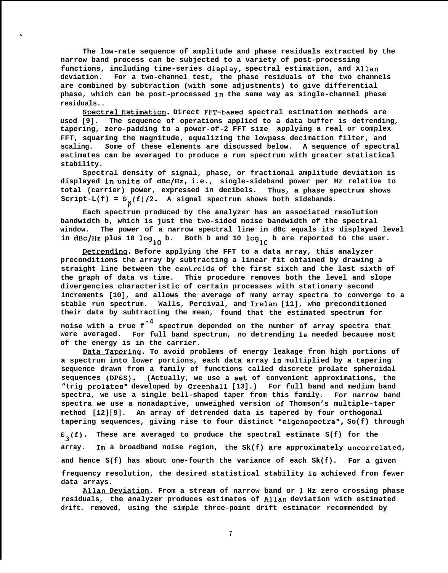**The low-rate sequence of amplitude and phase residuals extracted by the narrow band process can be subjected to a variety of post-processing** functions, including time-series display, spectral estimation, and Allan **deviation. For a two-channel test, the phase residuals of the two channels are combined by subtraction (with some adjustments) to give differential phase, which can be post-processed in the same way as single-channel phase residuals..**

.

**Spectral Estimation. Direct FFT-based spectral estimation methods are used [9]. The sequence of operations applied to a data buffer is detrending, tapering, zero-padding to a power-of-2 FFT size<sup>r</sup> applying a real or complex FFT, squaring the magnitude, equalizing the lowpass decimation filter, and scaling. Some of these elements are discussed below. A sequence of spectral estimates can be averaged to produce a run spectrum with greater statistical stability.**

**Spectral density of signal, phase, or fractional amplitude deviation is displayed in units of dBc/Hz, i.e., single-sideband power per Hz relative to total (carrier) power, expressed in decibels. Thus, a phase spectrum shows** Script-L(f) =  $S_{\emptyset}(f)/2$ . A signal spectrum shows both sidebands.

**Each spectrum produced by the analyzer has an associated resolution bandwidth b, which is just the two-sided noise bandwidth of the spectral window. The power of a narrow spectral line in dBc equals its displayed level** in dBc/Hz plus 10 log<sub>10</sub> b. Both b and 10 log<sub>10</sub> b are reported to the user.

**petrendinq. Before applying the FFT to a data array, this analyzer preconditions the array by subtracting a linear fit obtained by drawing a straight line between the centroide of the first sixth and the last sixth of the graph of data vs time. This procedure removes both the level and slope divergencies characteristic of certain processes with stationary second increments [10], and allows the average of many array spectra to converge to a stable run spectrum. Walls, Percival, and Irelan [11], who preconditioned their data by subtracting the mean, found that the estimated spectrum for -4 noise with a true f spectrum depended on the number of array spectra that**

**were averaged. For full band spectrum, no detrending is needed because most of the energy is in the carrier.**

**Data Taperinq. To avoid problems of energy leakage from high portions of a spectrum into lower portions, each data array is multiplied by a tapering sequence drawn from a family of functions called discrete prolate spheroidal sequences (DPSS). (Actually, we use a set of convenient approximations, the** "trig prolates" developed by Greenhall [13].) For full band and medium band **spectra, we use a single bell-shaped taper from this family. For narrow band spectra we use a nonadaptive, unweighed version of Thomson's multiple-taper method [12][9]. An array of detrended data is tapered by four orthogonal tapering sequences, giving rise to four distinct "eigenspectra", So(f) through**

**s3(f). These are averaged to produce the spectral estimate S(f) for the array. In a broadband noise region, the Sk(f) are approximately uncorrelated, and hence S(f) has about one-fourth the variance of each Sk(f). For a given frequency resolution, the desired statistical stability is achieved from fewer data arrays.**

**Allan Deviation. From a stream of narrow band or 1 Hz zero crossing phase residuals, the analyzer produces estimates of Allan deviation with estimated drift. removed, using the simple three-point drift estimator recommended by**

**7**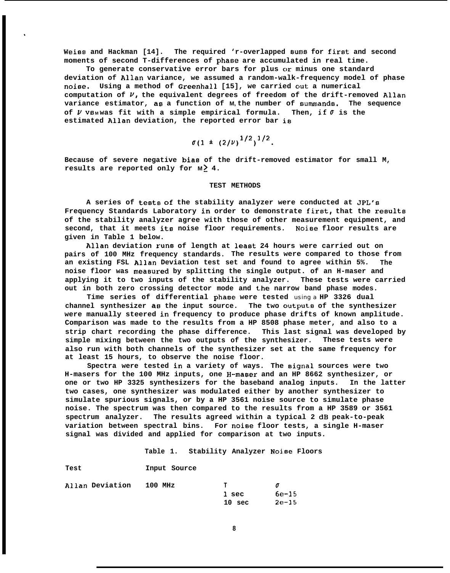**Weiss and Hackman [14]. The required 'r-overlapped sums for first and second moments of second T-differences of phase are accumulated in real time.**

\*

To generate conservative error bars for plus or minus one standard **deviation of Allan variance, we assumed a random-walk-frequency model of phase noise. Using a method of Greenhall [15], we carried out a numerical computation of v, the equivalent degrees of freedom of the drift-removed Allan variance estimator, as a function of M, the number of summands. The sequence** of  $\nu$  **vs**<sup>M</sup>was fit with a simple empirical formula. Then, if  $\sigma$  is the **estimated Allan deviation, the reported error bar is**

$$
\sigma(1 \pm (2/\nu)^{1/2})^{1/2}.
$$

**Because of severe negative biae of the drift-removed estimator for small M, results are reported only for M ~ 4.**

## **TEST METHODS**

**A series of te8ts of the stability analyzer were conducted at JPL's Frequency Standards Laboratory in order to demonstrate first, that the results of the stability analyzer agree with those of other measurement equipment, and second, that it meets ita noise floor requirements. Noiee floor results are given in Table 1 below.**

**Allan deviation rung of length at least 24 hours were carried out on pairs of 100 MHz frequency standards. The results were compared to those from an existing FSL Allan Deviation test set and found to agree within 5%. The noise floor was meaBured by splitting the single output. of an H-maser and applying it to two inputs of the stability analyzer. These tests were carried out in both zero crossing detector mode and the narrow band phase modes.**

**Time series of differential phase were tested** using a **HP 3326 dual channel synthesizer an the input source. The two outpute of the synthesizer were manually steered in frequency to produce phase drifts of known amplitude. Comparison was made to the results from a HP 8508 phase meter, and also to a strip chart recording the phase difference. This last signal was developed by simple mixing between the two outputs of the synthesizer. These tests were also run with both channels of the synthesizer set at the same frequency for at least 15 hours, to observe the noise floor.**

**Spectra were tested in a variety of ways. The signal sources were two** H-masers for the 100 MHz inputs, one H-maser and an HP 8662 synthesizer, or **one or two HP 3325 synthesizers for the baseband analog inputs. In the latter two cases, one synthesizer was modulated either by another synthesizer to simulate spurious signals, or by a HP 3561 noise source to simulate phase noise. The spectrum was then compared to the results from a HP 3589 or 3561 spectrum analyzer. The results agreed within a typical 2 dB peak-to-peak variation between spectral bins. For noise floor tests, a single H-maser signal was divided and applied for comparison at two inputs.**

**Table 1. Stability Analyzer Noise Floors**

| Allan Deviation | 100 MHz | T                 |         |
|-----------------|---------|-------------------|---------|
|                 |         | l sec             | $6e-15$ |
|                 |         | 10 <sub>sec</sub> | $2e-15$ |

**Input Source**

**Test**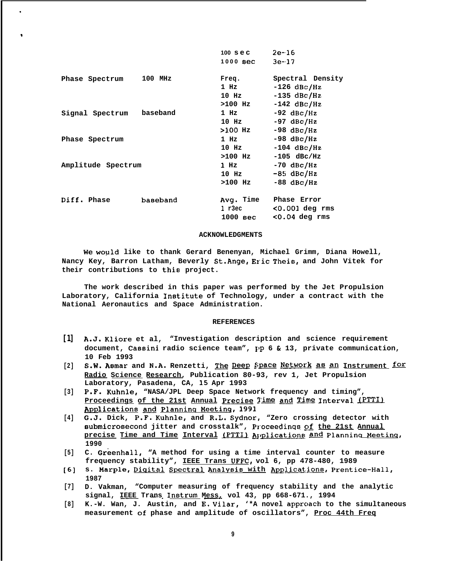|                          |           | $100 \text{ sec}$ | $2e-16$          |
|--------------------------|-----------|-------------------|------------------|
|                          |           | $1000$ sec        | $3e-17$          |
| Phase Spectrum           | $100$ MHz | Freq.             | Spectral Density |
|                          |           | $1$ Hz            | $-126$ dBc/Hz    |
|                          |           | $10$ Hz           | $-135$ dBc/Hz    |
|                          |           | >100 Hz           | $-142$ dBc/Hz    |
| Signal Spectrum baseband |           | $1$ Hz            | $-92$ dBc/Hz     |
|                          |           | $10$ Hz           | $-97$ dBc/Hz     |
|                          |           | >100 Hz           | $-98$ dBc/Hz     |
| Phase Spectrum           |           | $1$ Hz            | $-98$ dBc/Hz     |
|                          |           | $10$ Hz           | $-104$ dBc/Hz    |
|                          |           | $>100$ Hz         | $-105$ dBc/Hz    |
| Amplitude Spectrum       |           | 1 Hz              | $-70$ dBc/Hz     |
|                          |           | $10$ Hz           | $-85$ dBc/Hz     |
|                          |           | $>100$ Hz         | $-88$ dBc/Hz     |
| Diff. Phase              | baseband  | Avg. Time         | Phase Error      |
|                          |           | 1 r3ec            | $0.001$ deg rms  |
|                          |           | 1000 sec          | $0.04$ deg rms   |

.

\*

### **ACKNOWLEDGMENTS**

**We would like to thank Gerard Benenyan, Michael Grimm, Diana Howell, Nancy Key, Barron Latham, Beverly St.hnge, Eric Thei8, and John Vitek for their contributions to this project.**

**The work described in this paper was performed by the Jet Propulsion Laboratory, California Inetitute of Technology, under a contract with the National Aeronautics and Space Administration.**

# **REFERENCES**

- **[1] A.J. Kliore et al, "Investigation description and science requirement** document, Cassini radio science team", pp 6 & 13, private communication, **10 Feb 1993**
- **EXECUTE 1988**<br>[2] **S.W. Asmar and N.A.** Renzetti, <u>The Deep Space Network as an Instrument for</u> **Radio Science Research, Publication 80-93, rev 1, Jet Propulsion Laboratory, Pasadena, CA, 15 Apr 1993**
- **[3] P.F. Kuhnle, "NASA/JPL Deep Space Network frequency and timing", Radio Science Research, Publication 80-93, rev 1, Jet Propulsion**<br> **Laboratory, Pasadena, CA, 15 Apr 1993**<br> **P.F. Kuhnle, "NASA/JPL Deep Space Network frequency and timing",<br>
<u>Proceedings of the 21st Annual Precise</u> Time**
- **[4] G.J. Dick, P.F. Kuhnle, and R.L. Sydnor, "Zero crossing detector with aubmicrosecond jitter and crosstalk", Proceedinqa f& the 21st Annual precise Time and Time Interval (PTTIl AJplicati0n5 @ Planninu Meetinq, 1990**
- **[5] C. Greenhall, "A method for using a time interval counter to measure frequency stability", IEEE Trans UFFC, vol 6, pp 478-480, 1989**
- **[6]** s. Marple, Digital Spectral Analysis with Applications, Prentice-Hall, **1987**
- **[7] D. Vakman, "Computer measuring of frequency stability and the analytic** signal, **IEEE Trans Instrum Mess**, vol 43, pp 668-671., 1994
- [8] **K.-W. Wan, J. Austin, and E. Vilar, '\*A novel approach to the simultaneous measurement of phase and amplitude of oscillators", Proc 44th Freq**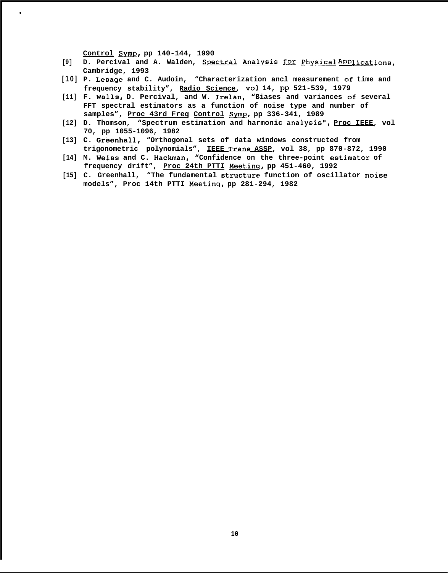Control Symp, pp 140-144, 1990

.

- [9] D. Percival and A. Walden, Spectral Analysis for Physical APP lications, **Cambridge, 1993**
- **[10 ] P. Leaage and C. Audoin, "Characterization ancl measurement of time and frequency stability", Radio Science, VO1 14, Pp 521-539, 1979**
- **[11] F. Walls, D. Percival, and W. Irelan, "Biases and variances of several FFT spectral estimators as a function of noise type and number of** samples", Proc 43rd Freq Control Symp, pp 336-341, 1989
- **[12] D. Thomson, "Spectrum estimation and harmonic analysie", Proc IEEE, vol 70, pp 1055-1096, 1982**
- **[13] C. Greenhall, "Orthogonal sets of data windows constructed from trigonometric polynomials", IEEE Trans ASSP, vol 38, pp 870-872, 1990**
- **[14] M. Weise and C. Hackman, "Confidence on the three-point eetimator of frequency drift", Proc 24th PTTI Meetinq, pp 451-460, 1992**
- **[15] C. Greenhall, "The fundamental etructure function of oscillator noiee models", Proc 14th PTTI Meetinq, pp 281-294, 1982**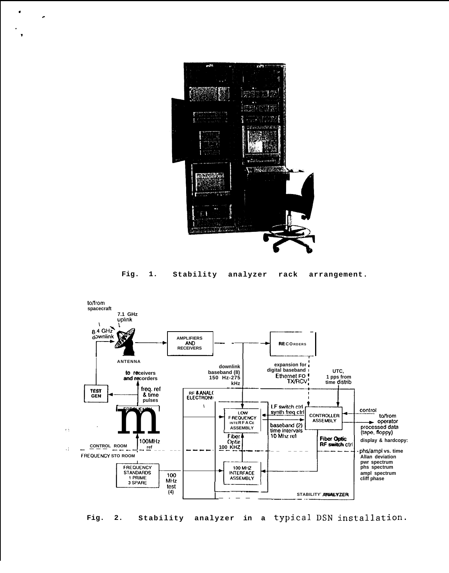

 $\bullet$ 

.

**Fig. 1. Stability analyzer rack arrangement.**



Fig. 2. Stability analyzer in a typical DSN installation.